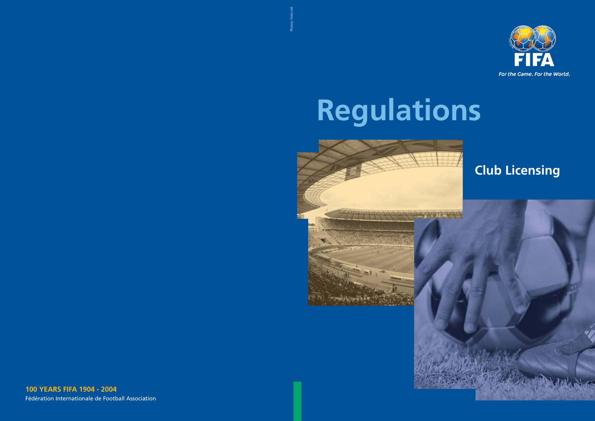

# **Regulations**

Photos: Foto-net



**100 YEARS FIFA 1904 - 2004** Fédération Internationale de Football Association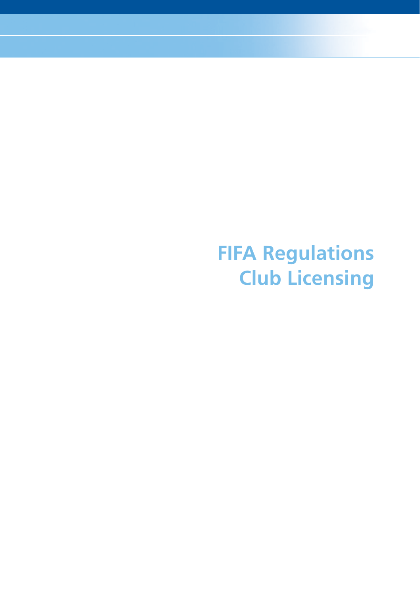**FIFA Regulations Club Licensing**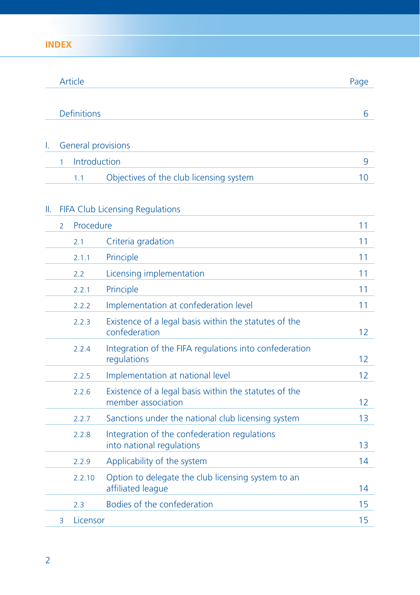|    | Article                   |              |                                                                             |    |  |  |
|----|---------------------------|--------------|-----------------------------------------------------------------------------|----|--|--|
|    | <b>Definitions</b>        |              |                                                                             |    |  |  |
| L. | <b>General provisions</b> |              |                                                                             |    |  |  |
|    | 1                         | Introduction |                                                                             | 9  |  |  |
|    |                           | 1.1          | Objectives of the club licensing system                                     | 10 |  |  |
| Ⅱ. |                           |              | <b>FIFA Club Licensing Regulations</b>                                      |    |  |  |
|    | $\overline{2}$            | Procedure    |                                                                             | 11 |  |  |
|    |                           | 2.1          | Criteria gradation                                                          | 11 |  |  |
|    |                           | 2.1.1        | Principle                                                                   | 11 |  |  |
|    |                           | 2.2          | Licensing implementation                                                    | 11 |  |  |
|    |                           | 2.2.1        | Principle                                                                   | 11 |  |  |
|    |                           | 2.2.2        | Implementation at confederation level                                       | 11 |  |  |
|    |                           | 2.2.3        | Existence of a legal basis within the statutes of the<br>confederation      | 12 |  |  |
|    |                           | 2.2.4        | Integration of the FIFA regulations into confederation<br>regulations       | 12 |  |  |
|    |                           | 2.2.5        | Implementation at national level                                            | 12 |  |  |
|    |                           | 2.2.6        | Existence of a legal basis within the statutes of the<br>member association | 12 |  |  |
|    |                           | 2.2.7        | Sanctions under the national club licensing system                          | 13 |  |  |
|    |                           | 2.2.8        | Integration of the confederation regulations<br>into national regulations   | 13 |  |  |
|    |                           | 2.2.9        | Applicability of the system                                                 | 14 |  |  |
|    |                           | 2.2.10       | Option to delegate the club licensing system to an<br>affiliated league     | 14 |  |  |
|    |                           | 2.3          | Bodies of the confederation                                                 | 15 |  |  |
|    | 3                         | Licensor     |                                                                             | 15 |  |  |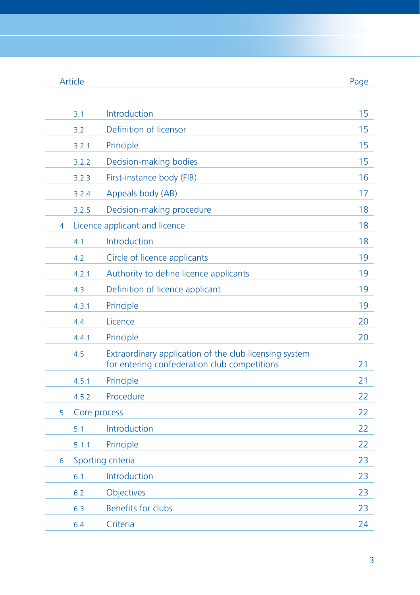|   | Article      |                                                                                                        |    |  |
|---|--------------|--------------------------------------------------------------------------------------------------------|----|--|
|   |              | Introduction                                                                                           | 15 |  |
|   | 3.1          | 15                                                                                                     |    |  |
|   | 3.2          |                                                                                                        |    |  |
|   | 3.2.1        | Principle                                                                                              | 15 |  |
|   | 3.2.2        | Decision-making bodies                                                                                 | 15 |  |
|   | 3.2.3        | First-instance body (FIB)                                                                              | 16 |  |
|   | 324          | Appeals body (AB)                                                                                      | 17 |  |
|   | 3.2.5        | Decision-making procedure                                                                              | 18 |  |
| 4 |              | Licence applicant and licence                                                                          | 18 |  |
|   | 4.1          | Introduction                                                                                           | 18 |  |
|   | 4.2          | Circle of licence applicants                                                                           | 19 |  |
|   | 4.2.1        | Authority to define licence applicants                                                                 | 19 |  |
|   | 4.3          | Definition of licence applicant                                                                        | 19 |  |
|   | 4.3.1        | Principle                                                                                              | 19 |  |
|   | 4.4          | Licence                                                                                                | 20 |  |
|   | 4.4.1        | Principle                                                                                              | 20 |  |
|   | 4.5          | Extraordinary application of the club licensing system<br>for entering confederation club competitions | 21 |  |
|   | 4.5.1        | Principle                                                                                              | 21 |  |
|   | 4.5.2        | Procedure                                                                                              | 22 |  |
| 5 | Core process |                                                                                                        | 22 |  |
|   | 5.1          | Introduction                                                                                           | 22 |  |
|   | 5.1.1        | Principle                                                                                              | 22 |  |
| 6 |              | Sporting criteria                                                                                      | 23 |  |
|   | 6.1          | Introduction                                                                                           | 23 |  |
|   | 6.2          | Objectives                                                                                             | 23 |  |
|   | 6.3          | Benefits for clubs                                                                                     | 23 |  |
|   | 6.4          | Criteria                                                                                               | 24 |  |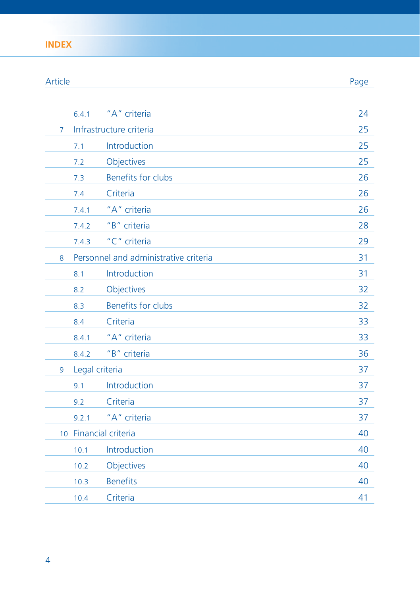# **INDEX**

| Article | מו זב |
|---------|-------|
|         |       |

|                | 6.4.1          | "A" criteria                          | 24 |
|----------------|----------------|---------------------------------------|----|
| $\overline{7}$ |                | Infrastructure criteria               | 25 |
|                | 7.1            | Introduction                          | 25 |
|                | 7.2            | Objectives                            | 25 |
|                | 7.3            | <b>Benefits for clubs</b>             | 26 |
|                | 7.4            | Criteria                              | 26 |
|                | 7.4.1          | "A" criteria                          | 26 |
|                | 7.4.2          | "B" criteria                          | 28 |
|                | 7.4.3          | "C" criteria                          | 29 |
| 8              |                | Personnel and administrative criteria | 31 |
|                | 8.1            | Introduction                          | 31 |
|                | 8.2            | Objectives                            | 32 |
|                | 8.3            | <b>Benefits for clubs</b>             | 32 |
|                | 8.4            | Criteria                              | 33 |
|                | 8.4.1          | "A" criteria                          | 33 |
|                | 8.4.2          | "B" criteria                          | 36 |
| 9              | Legal criteria |                                       | 37 |
|                | 9.1            | Introduction                          | 37 |
|                | 9.2            | Criteria                              | 37 |
|                | 9.2.1          | "A" criteria                          | 37 |
|                |                | 10 Financial criteria                 | 40 |
|                | 10.1           | Introduction                          | 40 |
|                | 10.2           | Objectives                            | 40 |
|                | 10.3           | <b>Benefits</b>                       | 40 |
|                | 10.4           | Criteria                              | 41 |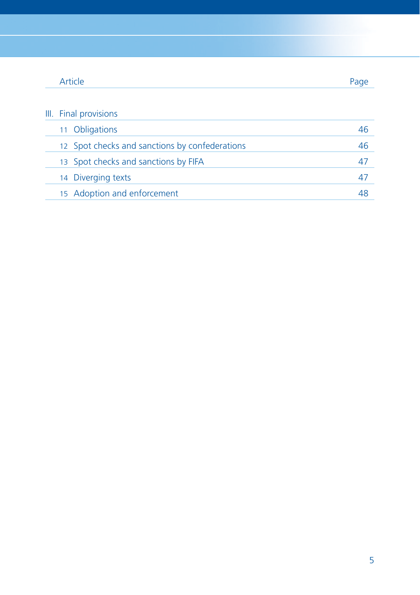| Article                                        | Page |
|------------------------------------------------|------|
| III. Final provisions                          |      |
| <b>Obligations</b><br>11                       | 46   |
| 12 Spot checks and sanctions by confederations | 46   |
| 13 Spot checks and sanctions by FIFA           | 47   |
| 14 Diverging texts                             | 47   |
| 15 Adoption and enforcement                    | 48   |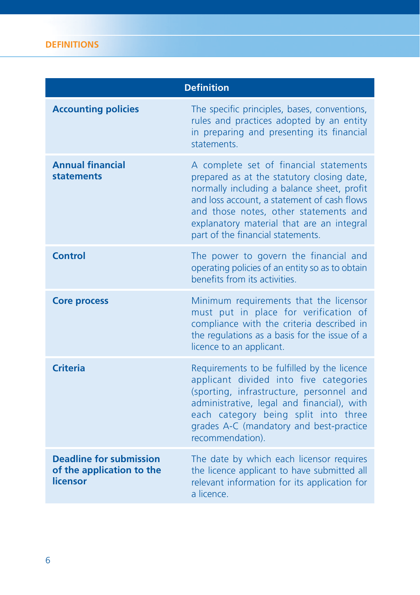|                                                                         | <b>Definition</b>                                                                                                                                                                                                                                                                                            |
|-------------------------------------------------------------------------|--------------------------------------------------------------------------------------------------------------------------------------------------------------------------------------------------------------------------------------------------------------------------------------------------------------|
| <b>Accounting policies</b>                                              | The specific principles, bases, conventions,<br>rules and practices adopted by an entity<br>in preparing and presenting its financial<br>statements.                                                                                                                                                         |
| <b>Annual financial</b><br><b>statements</b>                            | A complete set of financial statements<br>prepared as at the statutory closing date,<br>normally including a balance sheet, profit<br>and loss account, a statement of cash flows<br>and those notes, other statements and<br>explanatory material that are an integral<br>part of the financial statements. |
| <b>Control</b>                                                          | The power to govern the financial and<br>operating policies of an entity so as to obtain<br>benefits from its activities.                                                                                                                                                                                    |
| <b>Core process</b>                                                     | Minimum requirements that the licensor<br>must put in place for verification of<br>compliance with the criteria described in<br>the regulations as a basis for the issue of a<br>licence to an applicant.                                                                                                    |
| <b>Criteria</b>                                                         | Requirements to be fulfilled by the licence<br>applicant divided into five categories<br>(sporting, infrastructure, personnel and<br>administrative, legal and financial), with<br>each category being split into three<br>grades A-C (mandatory and best-practice<br>recommendation).                       |
| <b>Deadline for submission</b><br>of the application to the<br>licensor | The date by which each licensor requires<br>the licence applicant to have submitted all<br>relevant information for its application for<br>a licence.                                                                                                                                                        |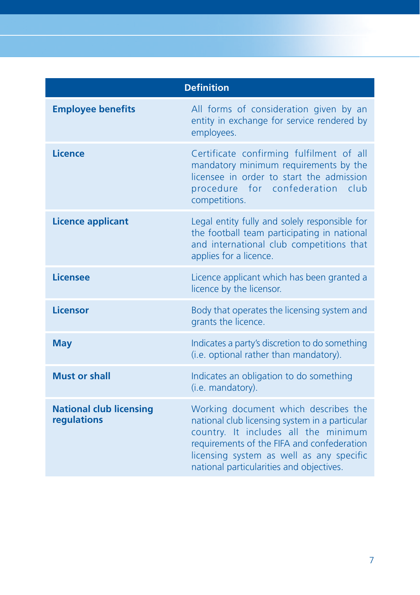|                                               | <b>Definition</b>                                                                                                                                                                                                                                                    |
|-----------------------------------------------|----------------------------------------------------------------------------------------------------------------------------------------------------------------------------------------------------------------------------------------------------------------------|
| <b>Employee benefits</b>                      | All forms of consideration given by an<br>entity in exchange for service rendered by<br>employees.                                                                                                                                                                   |
| <b>Licence</b>                                | Certificate confirming fulfilment of all<br>mandatory minimum requirements by the<br>licensee in order to start the admission<br>procedure for confederation<br>club<br>competitions.                                                                                |
| <b>Licence applicant</b>                      | Legal entity fully and solely responsible for<br>the football team participating in national<br>and international club competitions that<br>applies for a licence.                                                                                                   |
| Licensee                                      | Licence applicant which has been granted a<br>licence by the licensor.                                                                                                                                                                                               |
| <b>Licensor</b>                               | Body that operates the licensing system and<br>grants the licence.                                                                                                                                                                                                   |
| <b>May</b>                                    | Indicates a party's discretion to do something<br>(i.e. optional rather than mandatory).                                                                                                                                                                             |
| <b>Must or shall</b>                          | Indicates an obligation to do something<br>(i.e. mandatory).                                                                                                                                                                                                         |
| <b>National club licensing</b><br>regulations | Working document which describes the<br>national club licensing system in a particular<br>country. It includes all the minimum<br>requirements of the FIFA and confederation<br>licensing system as well as any specific<br>national particularities and objectives. |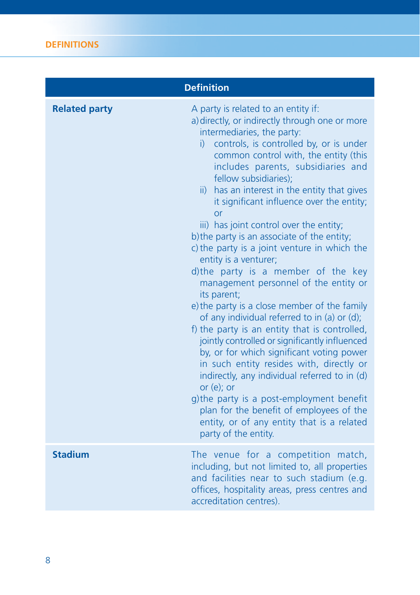|                      | <b>Definition</b>                                                                                                                                                                                                                                                                                                                                                                                                                                                                                                                                                                                                                                                                                                                                                                                                                                                                                                                                                                                                                                                                                                                                                                               |
|----------------------|-------------------------------------------------------------------------------------------------------------------------------------------------------------------------------------------------------------------------------------------------------------------------------------------------------------------------------------------------------------------------------------------------------------------------------------------------------------------------------------------------------------------------------------------------------------------------------------------------------------------------------------------------------------------------------------------------------------------------------------------------------------------------------------------------------------------------------------------------------------------------------------------------------------------------------------------------------------------------------------------------------------------------------------------------------------------------------------------------------------------------------------------------------------------------------------------------|
| <b>Related party</b> | A party is related to an entity if:<br>a) directly, or indirectly through one or more<br>intermediaries, the party:<br>controls, is controlled by, or is under<br>i)<br>common control with, the entity (this<br>includes parents, subsidiaries and<br>fellow subsidiaries);<br>has an interest in the entity that gives<br>$\ddot{\mathbf{i}}$<br>it significant influence over the entity;<br>or<br>iii) has joint control over the entity;<br>b) the party is an associate of the entity;<br>c) the party is a joint venture in which the<br>entity is a venturer;<br>d)the party is a member of the key<br>management personnel of the entity or<br>its parent;<br>e) the party is a close member of the family<br>of any individual referred to in (a) or (d);<br>f) the party is an entity that is controlled,<br>jointly controlled or significantly influenced<br>by, or for which significant voting power<br>in such entity resides with, directly or<br>indirectly, any individual referred to in (d)<br>or $(e)$ ; or<br>g)the party is a post-employment benefit<br>plan for the benefit of employees of the<br>entity, or of any entity that is a related<br>party of the entity. |
| <b>Stadium</b>       | The venue for a competition match,<br>including, but not limited to, all properties<br>and facilities near to such stadium (e.g.<br>offices, hospitality areas, press centres and<br>accreditation centres).                                                                                                                                                                                                                                                                                                                                                                                                                                                                                                                                                                                                                                                                                                                                                                                                                                                                                                                                                                                    |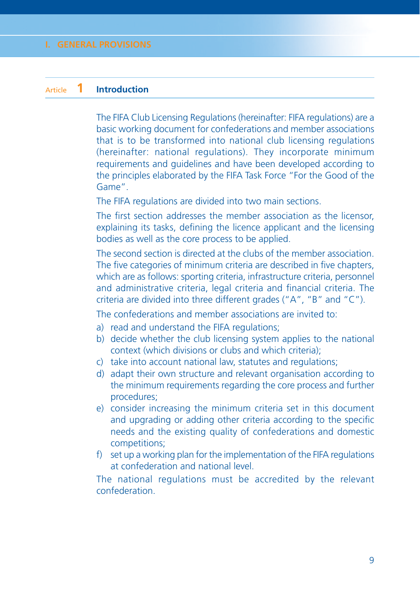#### Article **1 Introduction**

 The FIFA Club Licensing Regulations (hereinafter: FIFA regulations) are a basic working document for confederations and member associations that is to be transformed into national club licensing regulations (hereinafter: national regulations). They incorporate minimum requirements and guidelines and have been developed according to the principles elaborated by the FIFA Task Force "For the Good of the Game".

The FIFA regulations are divided into two main sections.

The first section addresses the member association as the licensor, explaining its tasks, defining the licence applicant and the licensing bodies as well as the core process to be applied.

 The second section is directed at the clubs of the member association. The five categories of minimum criteria are described in five chapters. which are as follows: sporting criteria, infrastructure criteria, personnel and administrative criteria, legal criteria and financial criteria. The criteria are divided into three different grades ("A", "B" and "C").

The confederations and member associations are invited to:

- a) read and understand the FIFA regulations;
- b) decide whether the club licensing system applies to the national context (which divisions or clubs and which criteria);
- c) take into account national law, statutes and regulations;
- d) adapt their own structure and relevant organisation according to the minimum requirements regarding the core process and further procedures;
- e) consider increasing the minimum criteria set in this document and upgrading or adding other criteria according to the specific needs and the existing quality of confederations and domestic competitions;
- f) set up a working plan for the implementation of the FIFA regulations at confederation and national level.

 The national regulations must be accredited by the relevant confederation.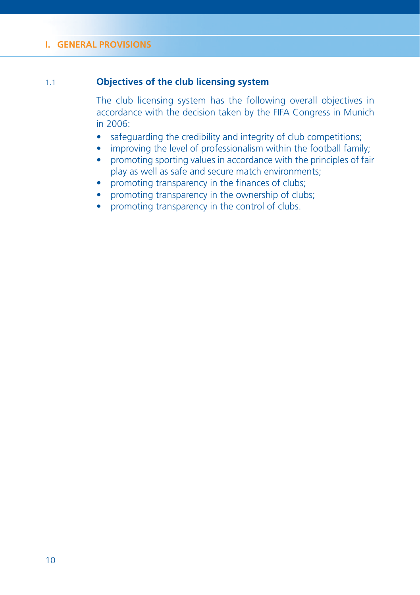#### **I. GENERAL PROVISIONS**

# 1.1 **Objectives of the club licensing system**

 The club licensing system has the following overall objectives in accordance with the decision taken by the FIFA Congress in Munich in 2006:

- safequarding the credibility and integrity of club competitions;
- improving the level of professionalism within the football family:
- promoting sporting values in accordance with the principles of fair play as well as safe and secure match environments;
- promoting transparency in the finances of clubs;
- promoting transparency in the ownership of clubs;
- promoting transparency in the control of clubs.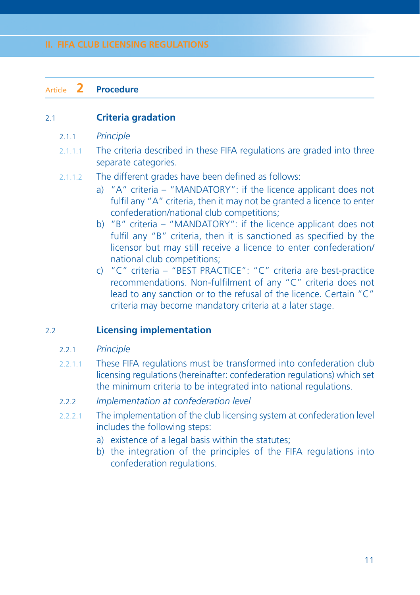# Article **2 Procedure**

#### 2.1 **Criteria gradation**

- 2.1.1 *Principle*
- 2.1.1.1 The criteria described in these FIFA regulations are graded into three separate categories.
- $2.1.1.2$  The different grades have been defined as follows:
	- a) "A" criteria "MANDATORY": if the licence applicant does not fulfil any "A" criteria, then it may not be granted a licence to enter confederation/national club competitions;
	- b) "B" criteria "MANDATORY": if the licence applicant does not fulfil any "B" criteria, then it is sanctioned as specified by the licensor but may still receive a licence to enter confederation/ national club competitions;
	- c) "C" criteria "BEST PRACTICE": "C" criteria are best-practice recommendations. Non-fulfilment of any "C" criteria does not lead to any sanction or to the refusal of the licence. Certain "C" criteria may become mandatory criteria at a later stage.

#### 2.2 **Licensing implementation**

- 2.2.1 *Principle*
- 2.2.1.1 These FIFA regulations must be transformed into confederation club licensing regulations (hereinafter: confederation regulations) which set the minimum criteria to be integrated into national regulations.
- 2.2.2 *Implementation at confederation level*
- 2.2.2.1 The implementation of the club licensing system at confederation level includes the following steps:
	- a) existence of a legal basis within the statutes;
	- b) the integration of the principles of the FIFA regulations into confederation regulations.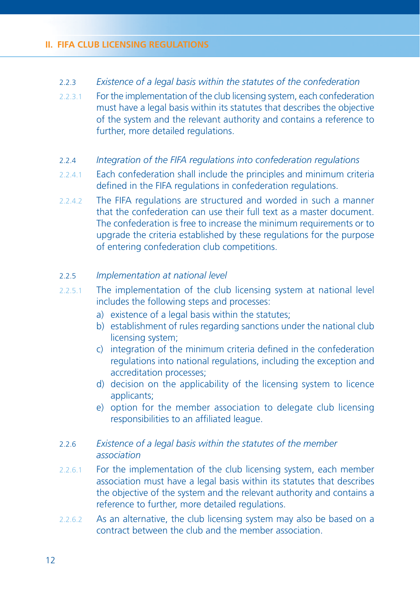#### 2.2.3 *Existence of a legal basis within the statutes of the confederation*

- 2.2.3.1 For the implementation of the club licensing system, each confederation must have a legal basis within its statutes that describes the objective of the system and the relevant authority and contains a reference to further, more detailed regulations.
- 2.2.4 *Integration of the FIFA regulations into confederation regulations*
- 2.2.4.1 Each confederation shall include the principles and minimum criteria defined in the FIFA regulations in confederation regulations.
- 2.2.4.2 The FIFA regulations are structured and worded in such a manner that the confederation can use their full text as a master document. The confederation is free to increase the minimum requirements or to upgrade the criteria established by these regulations for the purpose of entering confederation club competitions.

#### 2.2.5 *Implementation at national level*

- 2.2.5.1 The implementation of the club licensing system at national level includes the following steps and processes:
	- a) existence of a legal basis within the statutes;
	- b) establishment of rules regarding sanctions under the national club licensing system;
	- c) integration of the minimum criteria defined in the confederation regulations into national regulations, including the exception and accreditation processes;
	- d) decision on the applicability of the licensing system to licence applicants;
	- e) option for the member association to delegate club licensing responsibilities to an affiliated league.

#### 2.2.6 *Existence of a legal basis within the statutes of the member association*

- 2.2.6.1 For the implementation of the club licensing system, each member association must have a legal basis within its statutes that describes the objective of the system and the relevant authority and contains a reference to further, more detailed regulations.
- 2.2.6.2 As an alternative, the club licensing system may also be based on a contract between the club and the member association.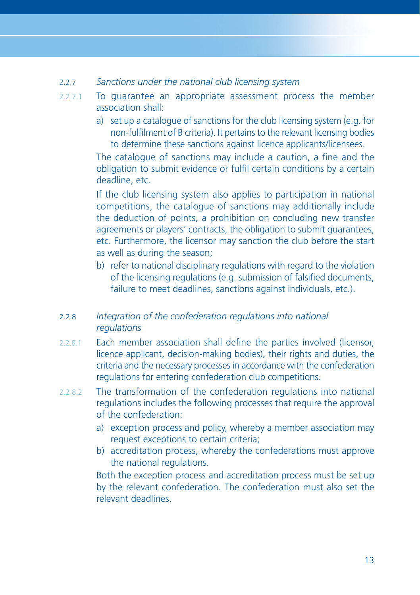#### 2.2.7 *Sanctions under the national club licensing system*

- 2.2.7.1 To guarantee an appropriate assessment process the member association shall:
	- a) set up a catalogue of sanctions for the club licensing system (e.g. for non-fulfilment of B criteria). It pertains to the relevant licensing bodies to determine these sanctions against licence applicants/licensees.

The catalogue of sanctions may include a caution, a fine and the obligation to submit evidence or fulfil certain conditions by a certain deadline, etc.

 If the club licensing system also applies to participation in national competitions, the catalogue of sanctions may additionally include the deduction of points, a prohibition on concluding new transfer agreements or players' contracts, the obligation to submit guarantees, etc. Furthermore, the licensor may sanction the club before the start as well as during the season;

b) refer to national disciplinary regulations with regard to the violation of the licensing regulations (e.g. submission of falsified documents, failure to meet deadlines, sanctions against individuals, etc.).

# 2.2.8 *Integration of the confederation regulations into national regulations*

- $2.2.8.1$  Each member association shall define the parties involved (licensor, licence applicant, decision-making bodies), their rights and duties, the criteria and the necessary processes in accordance with the confederation regulations for entering confederation club competitions.
- 2.2.8.2 The transformation of the confederation regulations into national regulations includes the following processes that require the approval of the confederation:
	- a) exception process and policy, whereby a member association may request exceptions to certain criteria;
	- b) accreditation process, whereby the confederations must approve the national regulations.

 Both the exception process and accreditation process must be set up by the relevant confederation. The confederation must also set the relevant deadlines.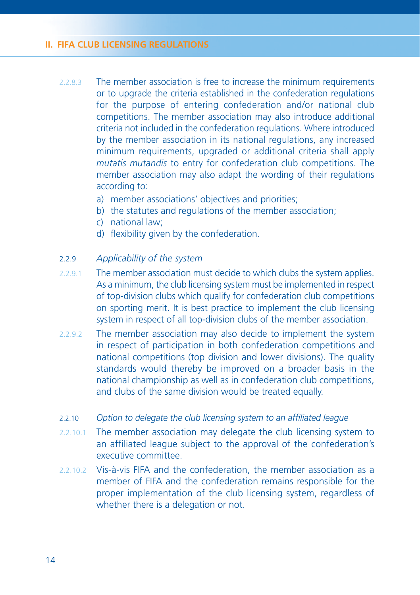- 2.2.8.3 The member association is free to increase the minimum requirements or to upgrade the criteria established in the confederation regulations for the purpose of entering confederation and/or national club competitions. The member association may also introduce additional criteria not included in the confederation regulations. Where introduced by the member association in its national regulations, any increased minimum requirements, upgraded or additional criteria shall apply *mutatis mutandis* to entry for confederation club competitions. The member association may also adapt the wording of their regulations according to:
	- a) member associations' objectives and priorities;
	- b) the statutes and regulations of the member association;
	- c) national law;
	- d) flexibility given by the confederation.

#### 2.2.9 *Applicability of the system*

- 2.2.9.1 The member association must decide to which clubs the system applies. As a minimum, the club licensing system must be implemented in respect of top-division clubs which qualify for confederation club competitions on sporting merit. It is best practice to implement the club licensing system in respect of all top-division clubs of the member association.
- 2.2.9.2 The member association may also decide to implement the system in respect of participation in both confederation competitions and national competitions (top division and lower divisions). The quality standards would thereby be improved on a broader basis in the national championship as well as in confederation club competitions, and clubs of the same division would be treated equally.
- 2.2.10 *Option to delegate the club licensing system to an affi liated league*
- 2.2.10.1 The member association may delegate the club licensing system to an affiliated league subject to the approval of the confederation's executive committee.
- 2.2.10.2 Vis-à-vis FIFA and the confederation, the member association as a member of FIFA and the confederation remains responsible for the proper implementation of the club licensing system, regardless of whether there is a delegation or not.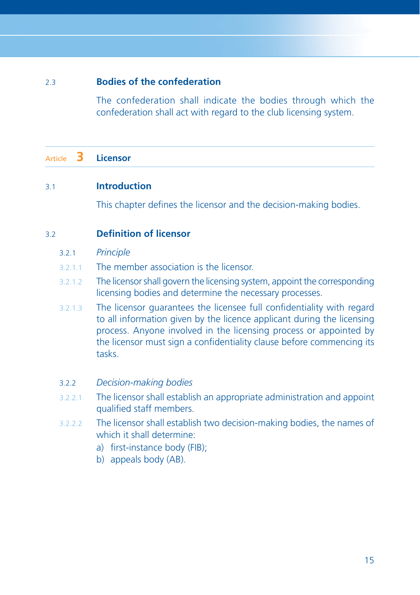#### 2.3 **Bodies of the confederation**

 The confederation shall indicate the bodies through which the confederation shall act with regard to the club licensing system.

# Article **3 Licensor**

#### 3.1 **Introduction**

This chapter defines the licensor and the decision-making bodies.

## 3.2 **Defi nition of licensor**

- 3.2.1 *Principle*
- 3.2.1.1 The member association is the licensor.
- 3.2.1.2 The licensor shall govern the licensing system, appoint the corresponding licensing bodies and determine the necessary processes.
- 3.2.1.3 The licensor quarantees the licensee full confidentiality with regard to all information given by the licence applicant during the licensing process. Anyone involved in the licensing process or appointed by the licensor must sign a confidentiality clause before commencing its tasks.

#### 3.2.2 *Decision-making bodies*

- 3.2.2.1 The licensor shall establish an appropriate administration and appoint qualified staff members.
- 3.2.2.2 The licensor shall establish two decision-making bodies, the names of which it shall determine:
	- a) first-instance body (FIB):
	- b) appeals body (AB).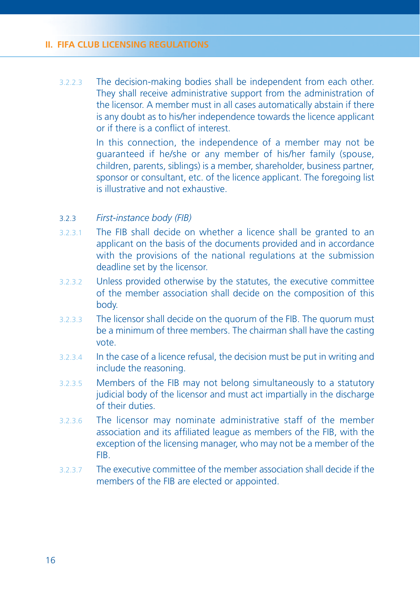3.2.2.3 The decision-making bodies shall be independent from each other. They shall receive administrative support from the administration of the licensor. A member must in all cases automatically abstain if there is any doubt as to his/her independence towards the licence applicant or if there is a conflict of interest.

> In this connection, the independence of a member may not be guaranteed if he/she or any member of his/her family (spouse, children, parents, siblings) is a member, shareholder, business partner, sponsor or consultant, etc. of the licence applicant. The foregoing list is illustrative and not exhaustive.

#### 3.2.3 *First-instance body (FIB)*

- 3.2.3.1 The FIB shall decide on whether a licence shall be granted to an applicant on the basis of the documents provided and in accordance with the provisions of the national regulations at the submission deadline set by the licensor.
- 3.2.3.2 Unless provided otherwise by the statutes, the executive committee of the member association shall decide on the composition of this body.
- 3.2.3.3 The licensor shall decide on the quorum of the FIB. The quorum must be a minimum of three members. The chairman shall have the casting vote.
- 3.2.3.4 In the case of a licence refusal, the decision must be put in writing and include the reasoning.
- 3.2.3.5 Members of the FIB may not belong simultaneously to a statutory judicial body of the licensor and must act impartially in the discharge of their duties.
- 3.2.3.6 The licensor may nominate administrative staff of the member association and its affiliated league as members of the FIB, with the exception of the licensing manager, who may not be a member of the FIB.
- 3.2.3.7 The executive committee of the member association shall decide if the members of the FIB are elected or appointed.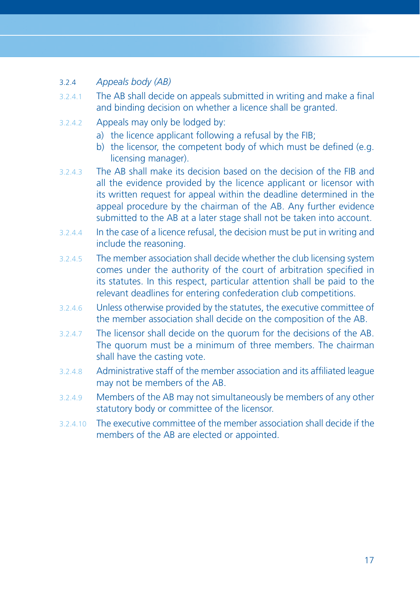## 3.2.4 *Appeals body (AB)*

- $3.2.4.1$  The AB shall decide on appeals submitted in writing and make a final and binding decision on whether a licence shall be granted.
- 3.2.4.2 Appeals may only be lodged by:
	- a) the licence applicant following a refusal by the FIB;
	- b) the licensor, the competent body of which must be defined (e.g. licensing manager).
- 3.2.4.3 The AB shall make its decision based on the decision of the FIB and all the evidence provided by the licence applicant or licensor with its written request for appeal within the deadline determined in the appeal procedure by the chairman of the AB. Any further evidence submitted to the AB at a later stage shall not be taken into account.
- 3.2.4.4 In the case of a licence refusal, the decision must be put in writing and include the reasoning.
- 3.2.4.5 The member association shall decide whether the club licensing system comes under the authority of the court of arbitration specified in its statutes. In this respect, particular attention shall be paid to the relevant deadlines for entering confederation club competitions.
- 3.2.4.6 Unless otherwise provided by the statutes, the executive committee of the member association shall decide on the composition of the AB.
- 3.2.4.7 The licensor shall decide on the quorum for the decisions of the AB. The quorum must be a minimum of three members. The chairman shall have the casting vote.
- 3.2.4.8 Administrative staff of the member association and its affiliated league may not be members of the AB.
- 3.2.4.9 Members of the AB may not simultaneously be members of any other statutory body or committee of the licensor.
- 3.2.4.10 The executive committee of the member association shall decide if the members of the AB are elected or appointed.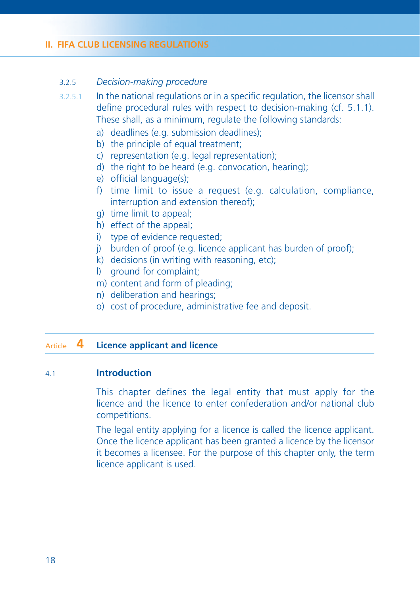#### 3.2.5 *Decision-making procedure*

- $3.2.5.1$  In the national regulations or in a specific regulation, the licensor shall define procedural rules with respect to decision-making (cf. 5.1.1). These shall, as a minimum, regulate the following standards:
	- a) deadlines (e.g. submission deadlines);
	- b) the principle of equal treatment;
	- c) representation (e.g. legal representation);
	- d) the right to be heard (e.g. convocation, hearing);
	- e) official language(s);
	- f) time limit to issue a request (e.g. calculation, compliance, interruption and extension thereof);
	- g) time limit to appeal;
	- h) effect of the appeal;
	- i) type of evidence requested;
	- j) burden of proof (e.g. licence applicant has burden of proof);
	- k) decisions (in writing with reasoning, etc);
	- l) ground for complaint;
	- m) content and form of pleading;
	- n) deliberation and hearings;
	- o) cost of procedure, administrative fee and deposit.

# Article **4 Licence applicant and licence**

#### 4.1 **Introduction**

 This chapter defines the legal entity that must apply for the licence and the licence to enter confederation and/or national club competitions.

 The legal entity applying for a licence is called the licence applicant. Once the licence applicant has been granted a licence by the licensor it becomes a licensee. For the purpose of this chapter only, the term licence applicant is used.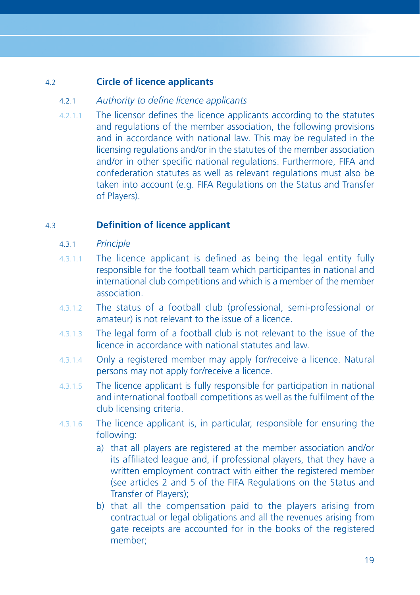# 4.2 **Circle of licence applicants**

#### 4.2.1 Authority to define licence applicants

4.2.1.1 The licensor defines the licence applicants according to the statutes and regulations of the member association, the following provisions and in accordance with national law. This may be regulated in the licensing regulations and/or in the statutes of the member association and/or in other specific national regulations. Furthermore, FIFA and confederation statutes as well as relevant regulations must also be taken into account (e.g. FIFA Regulations on the Status and Transfer of Players).

# 4.3 **Defi nition of licence applicant**

- 4.3.1 *Principle*
- $4.3.1.1$  The licence applicant is defined as being the legal entity fully responsible for the football team which participantes in national and international club competitions and which is a member of the member association.
- 4.3.1.2 The status of a football club (professional, semi-professional or amateur) is not relevant to the issue of a licence.
- 4.3.1.3 The legal form of a football club is not relevant to the issue of the licence in accordance with national statutes and law.
- 4.3.1.4 Only a registered member may apply for/receive a licence. Natural persons may not apply for/receive a licence.
- 4.3.1.5 The licence applicant is fully responsible for participation in national and international football competitions as well as the fulfilment of the club licensing criteria.
- 4.3.1.6 The licence applicant is, in particular, responsible for ensuring the following:
	- a) that all players are registered at the member association and/or its affiliated league and, if professional players, that they have a written employment contract with either the registered member (see articles 2 and 5 of the FIFA Regulations on the Status and Transfer of Players);
	- b) that all the compensation paid to the players arising from contractual or legal obligations and all the revenues arising from gate receipts are accounted for in the books of the registered member;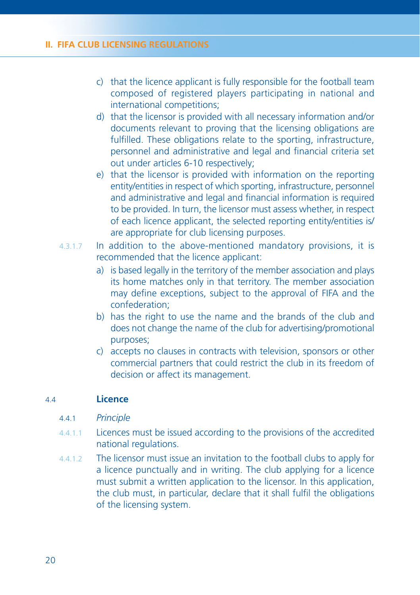- c) that the licence applicant is fully responsible for the football team composed of registered players participating in national and international competitions;
- d) that the licensor is provided with all necessary information and/or documents relevant to proving that the licensing obligations are fulfilled. These obligations relate to the sporting, infrastructure, personnel and administrative and legal and financial criteria set out under articles 6-10 respectively;
- e) that the licensor is provided with information on the reporting entity/entities in respect of which sporting, infrastructure, personnel and administrative and legal and financial information is required to be provided. In turn, the licensor must assess whether, in respect of each licence applicant, the selected reporting entity/entities is/ are appropriate for club licensing purposes.
- 4.3.1.7 In addition to the above-mentioned mandatory provisions, it is recommended that the licence applicant:
	- a) is based legally in the territory of the member association and plays its home matches only in that territory. The member association may define exceptions, subject to the approval of FIFA and the confederation;
	- b) has the right to use the name and the brands of the club and does not change the name of the club for advertising/promotional purposes;
	- c) accepts no clauses in contracts with television, sponsors or other commercial partners that could restrict the club in its freedom of decision or affect its management.

#### 4.4 **Licence**

#### 4.4.1 *Principle*

- 4.4.1.1 Licences must be issued according to the provisions of the accredited national regulations.
- 4.4.1.2 The licensor must issue an invitation to the football clubs to apply for a licence punctually and in writing. The club applying for a licence must submit a written application to the licensor. In this application, the club must, in particular, declare that it shall fulfil the obligations of the licensing system.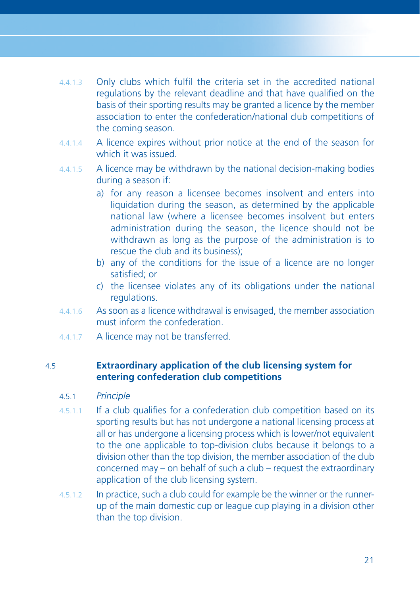- 4.4.1.3 Only clubs which fulfil the criteria set in the accredited national regulations by the relevant deadline and that have qualified on the basis of their sporting results may be granted a licence by the member association to enter the confederation/national club competitions of the coming season.
- 4.4.1.4 A licence expires without prior notice at the end of the season for which it was issued.
- 4.4.1.5 A licence may be withdrawn by the national decision-making bodies during a season if:
	- a) for any reason a licensee becomes insolvent and enters into liquidation during the season, as determined by the applicable national law (where a licensee becomes insolvent but enters administration during the season, the licence should not be withdrawn as long as the purpose of the administration is to rescue the club and its business);
	- b) any of the conditions for the issue of a licence are no longer satisfied; or
	- c) the licensee violates any of its obligations under the national regulations.
- 4.4.1.6 As soon as a licence withdrawal is envisaged, the member association must inform the confederation.
- 4.4.1.7 A licence may not be transferred.

# 4.5 **Extraordinary application of the club licensing system for entering confederation club competitions**

- 4.5.1 *Principle*
- 4.5.1.1 If a club qualifies for a confederation club competition based on its sporting results but has not undergone a national licensing process at all or has undergone a licensing process which is lower/not equivalent to the one applicable to top-division clubs because it belongs to a division other than the top division, the member association of the club concerned may – on behalf of such a club – request the extraordinary application of the club licensing system.
- 4.5.1.2 In practice, such a club could for example be the winner or the runnerup of the main domestic cup or league cup playing in a division other than the top division.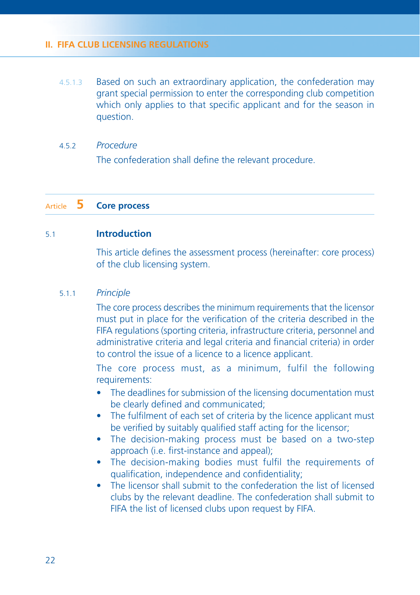4.5.1.3 Based on such an extraordinary application, the confederation may grant special permission to enter the corresponding club competition which only applies to that specific applicant and for the season in question.

#### 4.5.2 *Procedure*

The confederation shall define the relevant procedure.

# Article **5 Core process**

# 5.1 **Introduction**

This article defines the assessment process (hereinafter: core process) of the club licensing system.

#### 5.1.1 *Principle*

 The core process describes the minimum requirements that the licensor must put in place for the verification of the criteria described in the FIFA regulations (sporting criteria, infrastructure criteria, personnel and administrative criteria and legal criteria and financial criteria) in order to control the issue of a licence to a licence applicant.

 The core process must, as a minimum, fulfil the following requirements:

- The deadlines for submission of the licensing documentation must be clearly defined and communicated:
- The fulfilment of each set of criteria by the licence applicant must be verified by suitably qualified staff acting for the licensor;
- The decision-making process must be based on a two-step approach (i.e. first-instance and appeal);
- The decision-making bodies must fulfil the requirements of qualification, independence and confidentiality;
- The licensor shall submit to the confederation the list of licensed clubs by the relevant deadline. The confederation shall submit to FIFA the list of licensed clubs upon request by FIFA.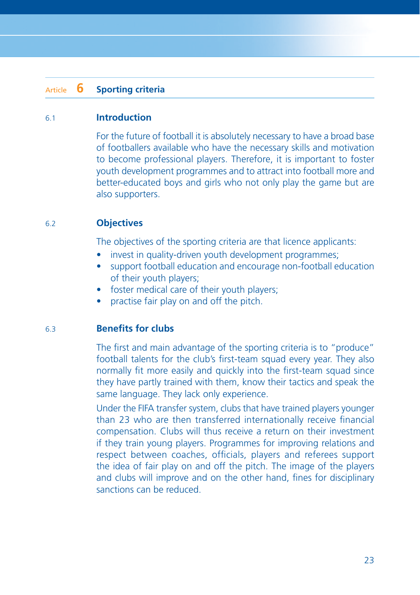## Article **6 Sporting criteria**

#### 6.1 **Introduction**

 For the future of football it is absolutely necessary to have a broad base of footballers available who have the necessary skills and motivation to become professional players. Therefore, it is important to foster youth development programmes and to attract into football more and better-educated boys and girls who not only play the game but are also supporters.

#### 6.2 **Objectives**

The objectives of the sporting criteria are that licence applicants:

- invest in quality-driven youth development programmes;
- support football education and encourage non-football education of their youth players;
- foster medical care of their youth players;
- practise fair play on and off the pitch.

#### 6.3 **Benefi ts for clubs**

The first and main advantage of the sporting criteria is to "produce" football talents for the club's first-team squad every year. They also normally fit more easily and quickly into the first-team squad since they have partly trained with them, know their tactics and speak the same language. They lack only experience.

 Under the FIFA transfer system, clubs that have trained players younger than 23 who are then transferred internationally receive financial compensation. Clubs will thus receive a return on their investment if they train young players. Programmes for improving relations and respect between coaches, officials, players and referees support the idea of fair play on and off the pitch. The image of the players and clubs will improve and on the other hand, fines for disciplinary sanctions can be reduced.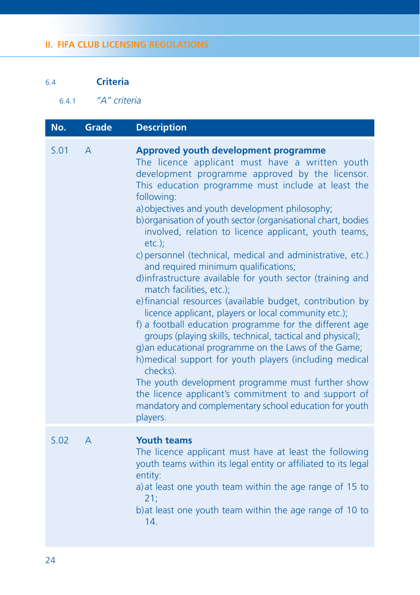# 6.4 **Criteria**

6.4.1 *"A" criteria*

| No.  | <b>Grade</b> | <b>Description</b>                                                                                                                                                                                                                                                                                                                                                                                                                                                                                                                                                                                                                                                                                                                                                                                                                                                                                                                                                                                                                                                                                                                                                             |
|------|--------------|--------------------------------------------------------------------------------------------------------------------------------------------------------------------------------------------------------------------------------------------------------------------------------------------------------------------------------------------------------------------------------------------------------------------------------------------------------------------------------------------------------------------------------------------------------------------------------------------------------------------------------------------------------------------------------------------------------------------------------------------------------------------------------------------------------------------------------------------------------------------------------------------------------------------------------------------------------------------------------------------------------------------------------------------------------------------------------------------------------------------------------------------------------------------------------|
| S.01 | $\mathsf{A}$ | <b>Approved youth development programme</b><br>The licence applicant must have a written youth<br>development programme approved by the licensor.<br>This education programme must include at least the<br>following:<br>a) objectives and youth development philosophy;<br>b) organisation of youth sector (organisational chart, bodies<br>involved, relation to licence applicant, youth teams,<br>$etc.$ );<br>c) personnel (technical, medical and administrative, etc.)<br>and required minimum qualifications;<br>d)infrastructure available for youth sector (training and<br>match facilities, etc.);<br>e) financial resources (available budget, contribution by<br>licence applicant, players or local community etc.);<br>f) a football education programme for the different age<br>groups (playing skills, technical, tactical and physical);<br>g) an educational programme on the Laws of the Game;<br>h) medical support for youth players (including medical<br>checks).<br>The youth development programme must further show<br>the licence applicant's commitment to and support of<br>mandatory and complementary school education for youth<br>players. |
| S.02 | A            | <b>Youth teams</b><br>The licence applicant must have at least the following<br>youth teams within its legal entity or affiliated to its legal<br>entity:<br>a) at least one youth team within the age range of 15 to<br>21;<br>b) at least one youth team within the age range of 10 to<br>14.                                                                                                                                                                                                                                                                                                                                                                                                                                                                                                                                                                                                                                                                                                                                                                                                                                                                                |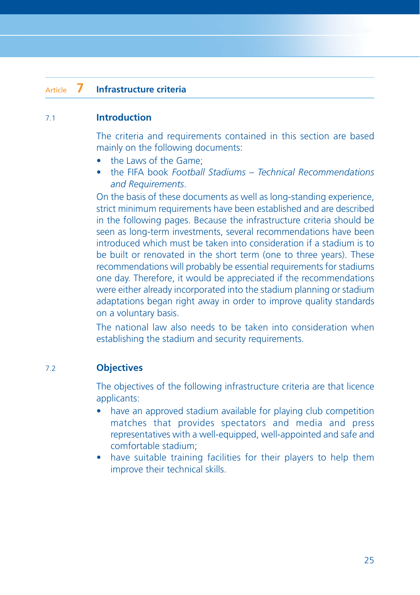# Article **7 Infrastructure criteria**

## 7.1 **Introduction**

 The criteria and requirements contained in this section are based mainly on the following documents:

- the Laws of the Game:
- the FIFA book *Football Stadiums Technical Recommendations and Requirements*.

 On the basis of these documents as well as long-standing experience, strict minimum requirements have been established and are described in the following pages. Because the infrastructure criteria should be seen as long-term investments, several recommendations have been introduced which must be taken into consideration if a stadium is to be built or renovated in the short term (one to three years). These recommendations will probably be essential requirements for stadiums one day. Therefore, it would be appreciated if the recommendations were either already incorporated into the stadium planning or stadium adaptations began right away in order to improve quality standards on a voluntary basis.

 The national law also needs to be taken into consideration when establishing the stadium and security requirements.

#### 7.2 **Objectives**

 The objectives of the following infrastructure criteria are that licence applicants:

- have an approved stadium available for playing club competition matches that provides spectators and media and press representatives with a well-equipped, well-appointed and safe and comfortable stadium;
- have suitable training facilities for their players to help them improve their technical skills.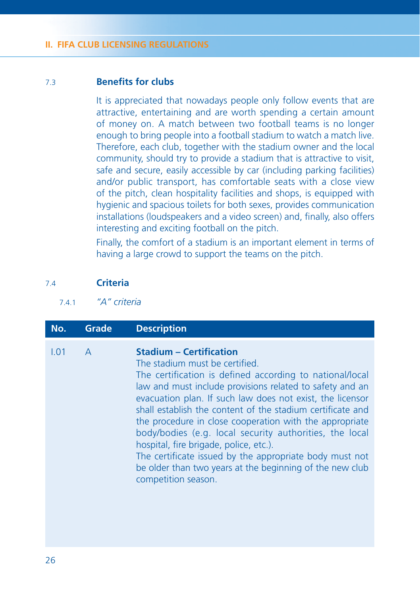#### 7.3 **Benefi ts for clubs**

 It is appreciated that nowadays people only follow events that are attractive, entertaining and are worth spending a certain amount of money on. A match between two football teams is no longer enough to bring people into a football stadium to watch a match live. Therefore, each club, together with the stadium owner and the local community, should try to provide a stadium that is attractive to visit, safe and secure, easily accessible by car (including parking facilities) and/or public transport, has comfortable seats with a close view of the pitch, clean hospitality facilities and shops, is equipped with hygienic and spacious toilets for both sexes, provides communication installations (loudspeakers and a video screen) and, finally, also offers interesting and exciting football on the pitch.

 Finally, the comfort of a stadium is an important element in terms of having a large crowd to support the teams on the pitch.

#### 7.4 **Criteria**

7.4.1 *"A" criteria*

| No.             | Grade        | <b>Description</b>                                                                                                                                                                                                                                                                                                                                                                                                                                                                                                                                                                                                                |
|-----------------|--------------|-----------------------------------------------------------------------------------------------------------------------------------------------------------------------------------------------------------------------------------------------------------------------------------------------------------------------------------------------------------------------------------------------------------------------------------------------------------------------------------------------------------------------------------------------------------------------------------------------------------------------------------|
| LO <sub>1</sub> | $\mathsf{A}$ | <b>Stadium – Certification</b><br>The stadium must be certified.<br>The certification is defined according to national/local<br>law and must include provisions related to safety and an<br>evacuation plan. If such law does not exist, the licensor<br>shall establish the content of the stadium certificate and<br>the procedure in close cooperation with the appropriate<br>body/bodies (e.g. local security authorities, the local<br>hospital, fire brigade, police, etc.).<br>The certificate issued by the appropriate body must not<br>be older than two years at the beginning of the new club<br>competition season. |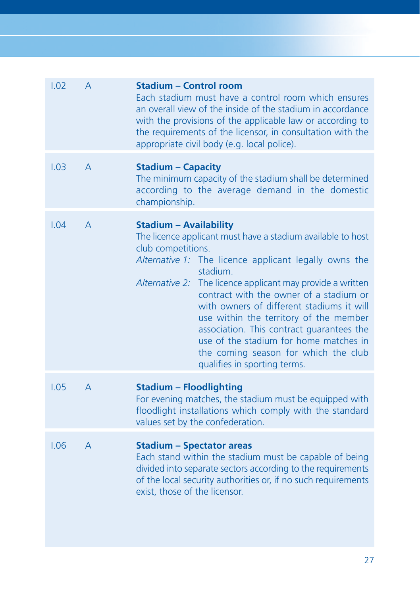| 1.02 | А              | <b>Stadium - Control room</b><br>Each stadium must have a control room which ensures<br>an overall view of the inside of the stadium in accordance<br>with the provisions of the applicable law or according to<br>the requirements of the licensor, in consultation with the<br>appropriate civil body (e.g. local police).                                                                                                                                                                                                                              |
|------|----------------|-----------------------------------------------------------------------------------------------------------------------------------------------------------------------------------------------------------------------------------------------------------------------------------------------------------------------------------------------------------------------------------------------------------------------------------------------------------------------------------------------------------------------------------------------------------|
| 1.03 | A              | <b>Stadium - Capacity</b><br>The minimum capacity of the stadium shall be determined<br>according to the average demand in the domestic<br>championship.                                                                                                                                                                                                                                                                                                                                                                                                  |
| 1.04 | $\mathsf{A}$   | <b>Stadium - Availability</b><br>The licence applicant must have a stadium available to host<br>club competitions.<br>Alternative 1: The licence applicant legally owns the<br>stadium.<br>The licence applicant may provide a written<br>Alternative 2:<br>contract with the owner of a stadium or<br>with owners of different stadiums it will<br>use within the territory of the member<br>association. This contract guarantees the<br>use of the stadium for home matches in<br>the coming season for which the club<br>qualifies in sporting terms. |
| 1.05 | A              | <b>Stadium - Floodlighting</b><br>For evening matches, the stadium must be equipped with<br>floodlight installations which comply with the standard<br>values set by the confederation.                                                                                                                                                                                                                                                                                                                                                                   |
| 1.06 | $\overline{A}$ | <b>Stadium - Spectator areas</b><br>Each stand within the stadium must be capable of being<br>divided into separate sectors according to the requirements<br>of the local security authorities or, if no such requirements<br>exist, those of the licensor.                                                                                                                                                                                                                                                                                               |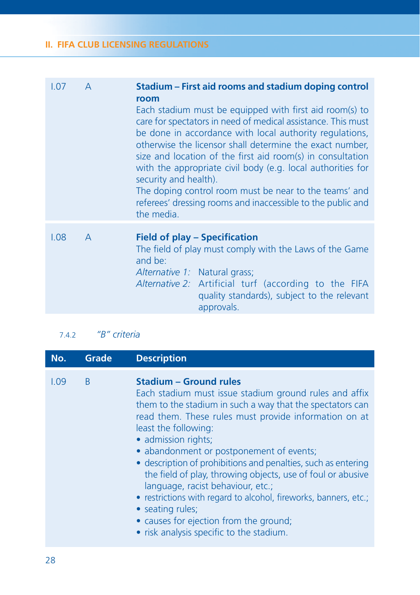| 1.07 | A            | Stadium - First aid rooms and stadium doping control<br>room<br>Each stadium must be equipped with first aid room(s) to<br>care for spectators in need of medical assistance. This must<br>be done in accordance with local authority regulations,<br>otherwise the licensor shall determine the exact number,<br>size and location of the first aid room(s) in consultation<br>with the appropriate civil body (e.g. local authorities for<br>security and health).<br>The doping control room must be near to the teams' and<br>referees' dressing rooms and inaccessible to the public and<br>the media. |  |
|------|--------------|-------------------------------------------------------------------------------------------------------------------------------------------------------------------------------------------------------------------------------------------------------------------------------------------------------------------------------------------------------------------------------------------------------------------------------------------------------------------------------------------------------------------------------------------------------------------------------------------------------------|--|
| 1.08 | $\mathsf{A}$ | <b>Field of play - Specification</b><br>The field of play must comply with the Laws of the Game<br>and be:<br>Alternative 1: Natural grass;<br>Alternative 2: Artificial turf (according to the FIFA<br>quality standards), subject to the relevant<br>approvals.                                                                                                                                                                                                                                                                                                                                           |  |

# 7.4.2 *"B" criteria*

| No.             | <b>Grade</b> | <b>Description</b>                                                                                                                                                                                                                                                                                                                                                                                                                                                                                                                                                                                                                                          |
|-----------------|--------------|-------------------------------------------------------------------------------------------------------------------------------------------------------------------------------------------------------------------------------------------------------------------------------------------------------------------------------------------------------------------------------------------------------------------------------------------------------------------------------------------------------------------------------------------------------------------------------------------------------------------------------------------------------------|
| L <sub>09</sub> | B            | <b>Stadium - Ground rules</b><br>Each stadium must issue stadium ground rules and affix<br>them to the stadium in such a way that the spectators can<br>read them. These rules must provide information on at<br>least the following:<br>· admission rights;<br>• abandonment or postponement of events;<br>• description of prohibitions and penalties, such as entering<br>the field of play, throwing objects, use of foul or abusive<br>language, racist behaviour, etc.;<br>• restrictions with regard to alcohol, fireworks, banners, etc.;<br>• seating rules;<br>• causes for ejection from the ground;<br>• risk analysis specific to the stadium. |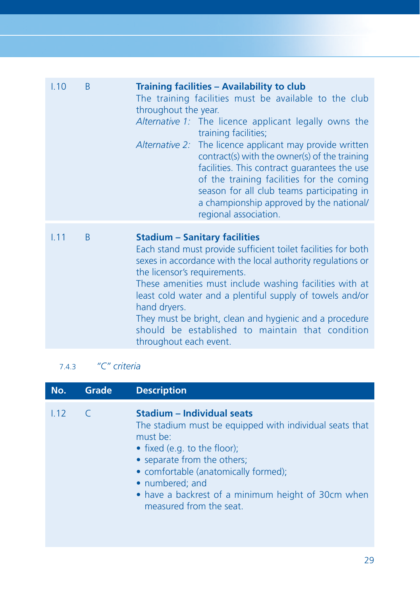| 1.10 | B            | Training facilities - Availability to club<br>The training facilities must be available to the club<br>throughout the year.<br>Alternative 1: The licence applicant legally owns the<br>training facilities;<br>Alternative 2: The licence applicant may provide written<br>contract(s) with the owner(s) of the training<br>facilities. This contract guarantees the use<br>of the training facilities for the coming<br>season for all club teams participating in<br>a championship approved by the national/<br>regional association. |
|------|--------------|-------------------------------------------------------------------------------------------------------------------------------------------------------------------------------------------------------------------------------------------------------------------------------------------------------------------------------------------------------------------------------------------------------------------------------------------------------------------------------------------------------------------------------------------|
| 1.11 | <sub>B</sub> | <b>Stadium - Sanitary facilities</b><br>Each stand must provide sufficient toilet facilities for both<br>sexes in accordance with the local authority regulations or<br>the licensor's requirements.<br>These amenities must include washing facilities with at<br>least cold water and a plentiful supply of towels and/or<br>hand dryers.<br>They must be bright, clean and hygienic and a procedure<br>should be established to maintain that condition<br>throughout each event.                                                      |

# 7.4.3 *"C" criteria*

| No.  | Grade     | <b>Description</b>                                                                                                                                                                                                                                                                                           |
|------|-----------|--------------------------------------------------------------------------------------------------------------------------------------------------------------------------------------------------------------------------------------------------------------------------------------------------------------|
| 1.12 | $\subset$ | Stadium - Individual seats<br>The stadium must be equipped with individual seats that<br>must be:<br>• fixed (e.g. to the floor);<br>• separate from the others;<br>• comfortable (anatomically formed);<br>• numbered; and<br>• have a backrest of a minimum height of 30cm when<br>measured from the seat. |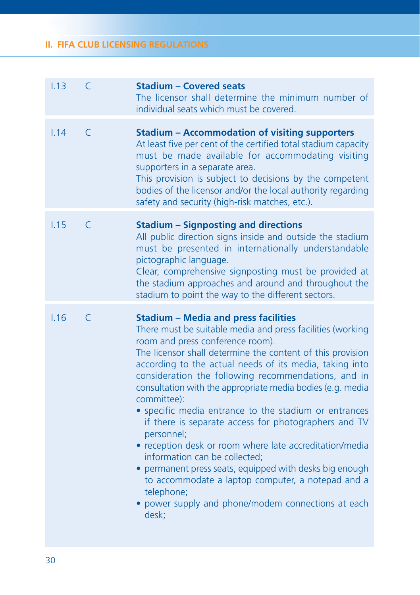| 1.13 | C            | <b>Stadium - Covered seats</b><br>The licensor shall determine the minimum number of<br>individual seats which must be covered.                                                                                                                                                                                                                                                                                                                                                                                                                                                                                                                                                                                                                                                                                                    |
|------|--------------|------------------------------------------------------------------------------------------------------------------------------------------------------------------------------------------------------------------------------------------------------------------------------------------------------------------------------------------------------------------------------------------------------------------------------------------------------------------------------------------------------------------------------------------------------------------------------------------------------------------------------------------------------------------------------------------------------------------------------------------------------------------------------------------------------------------------------------|
| 1.14 | $\subset$    | <b>Stadium - Accommodation of visiting supporters</b><br>At least five per cent of the certified total stadium capacity<br>must be made available for accommodating visiting<br>supporters in a separate area.<br>This provision is subject to decisions by the competent<br>bodies of the licensor and/or the local authority regarding<br>safety and security (high-risk matches, etc.).                                                                                                                                                                                                                                                                                                                                                                                                                                         |
| 1.15 | $\mathsf{C}$ | <b>Stadium - Signposting and directions</b><br>All public direction signs inside and outside the stadium<br>must be presented in internationally understandable<br>pictographic language.<br>Clear, comprehensive signposting must be provided at<br>the stadium approaches and around and throughout the<br>stadium to point the way to the different sectors.                                                                                                                                                                                                                                                                                                                                                                                                                                                                    |
| 1.16 | $\mathsf{C}$ | <b>Stadium - Media and press facilities</b><br>There must be suitable media and press facilities (working<br>room and press conference room).<br>The licensor shall determine the content of this provision<br>according to the actual needs of its media, taking into<br>consideration the following recommendations, and in<br>consultation with the appropriate media bodies (e.g. media<br>committee):<br>• specific media entrance to the stadium or entrances<br>if there is separate access for photographers and TV<br>personnel;<br>• reception desk or room where late accreditation/media<br>information can be collected;<br>• permanent press seats, equipped with desks big enough<br>to accommodate a laptop computer, a notepad and a<br>telephone;<br>· power supply and phone/modem connections at each<br>desk; |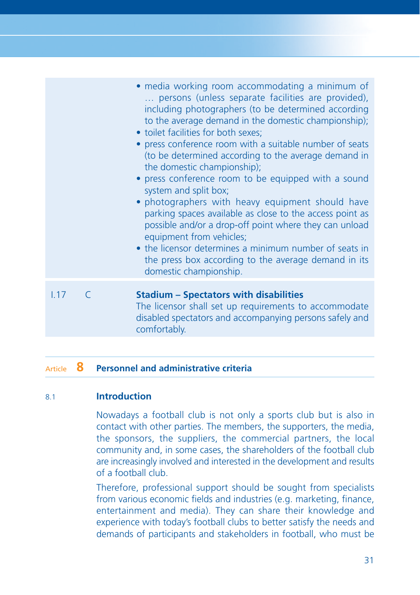|      |           | • media working room accommodating a minimum of<br>persons (unless separate facilities are provided),<br>including photographers (to be determined according<br>to the average demand in the domestic championship);<br>• toilet facilities for both sexes;<br>• press conference room with a suitable number of seats<br>(to be determined according to the average demand in<br>the domestic championship);<br>• press conference room to be equipped with a sound<br>system and split box;<br>• photographers with heavy equipment should have<br>parking spaces available as close to the access point as<br>possible and/or a drop-off point where they can unload<br>equipment from vehicles;<br>• the licensor determines a minimum number of seats in<br>the press box according to the average demand in its<br>domestic championship. |
|------|-----------|-------------------------------------------------------------------------------------------------------------------------------------------------------------------------------------------------------------------------------------------------------------------------------------------------------------------------------------------------------------------------------------------------------------------------------------------------------------------------------------------------------------------------------------------------------------------------------------------------------------------------------------------------------------------------------------------------------------------------------------------------------------------------------------------------------------------------------------------------|
| 1.17 | $\subset$ | <b>Stadium - Spectators with disabilities</b><br>The licensor shall set up requirements to accommodate<br>disabled spectators and accompanying persons safely and<br>comfortably.                                                                                                                                                                                                                                                                                                                                                                                                                                                                                                                                                                                                                                                               |

#### Article **8 Personnel and administrative criteria**

# 8.1 **Introduction**

 Nowadays a football club is not only a sports club but is also in contact with other parties. The members, the supporters, the media, the sponsors, the suppliers, the commercial partners, the local community and, in some cases, the shareholders of the football club are increasingly involved and interested in the development and results of a football club.

 Therefore, professional support should be sought from specialists from various economic fields and industries (e.g. marketing, finance, entertainment and media). They can share their knowledge and experience with today's football clubs to better satisfy the needs and demands of participants and stakeholders in football, who must be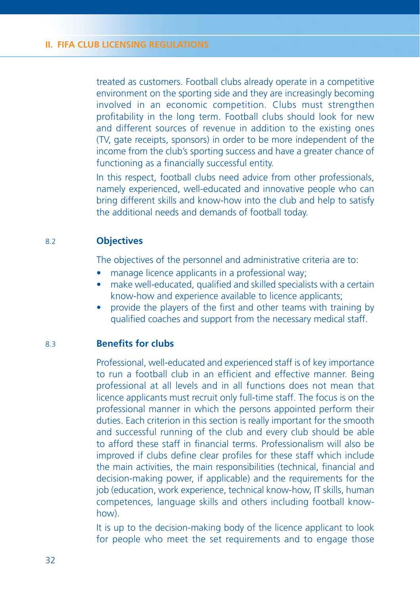treated as customers. Football clubs already operate in a competitive environment on the sporting side and they are increasingly becoming involved in an economic competition. Clubs must strengthen profitability in the long term. Football clubs should look for new and different sources of revenue in addition to the existing ones (TV, gate receipts, sponsors) in order to be more independent of the income from the club's sporting success and have a greater chance of functioning as a financially successful entity.

 In this respect, football clubs need advice from other professionals, namely experienced, well-educated and innovative people who can bring different skills and know-how into the club and help to satisfy the additional needs and demands of football today.

#### 8.2 **Objectives**

The objectives of the personnel and administrative criteria are to:

- manage licence applicants in a professional way;
- make well-educated, qualified and skilled specialists with a certain know-how and experience available to licence applicants;
- provide the players of the first and other teams with training by qualified coaches and support from the necessary medical staff.

#### 8.3 **Benefits for clubs**

 Professional, well-educated and experienced staff is of key importance to run a football club in an efficient and effective manner. Being professional at all levels and in all functions does not mean that licence applicants must recruit only full-time staff. The focus is on the professional manner in which the persons appointed perform their duties. Each criterion in this section is really important for the smooth and successful running of the club and every club should be able to afford these staff in financial terms. Professionalism will also be improved if clubs define clear profiles for these staff which include the main activities, the main responsibilities (technical, financial and decision-making power, if applicable) and the requirements for the job (education, work experience, technical know-how, IT skills, human competences, language skills and others including football knowhow).

 It is up to the decision-making body of the licence applicant to look for people who meet the set requirements and to engage those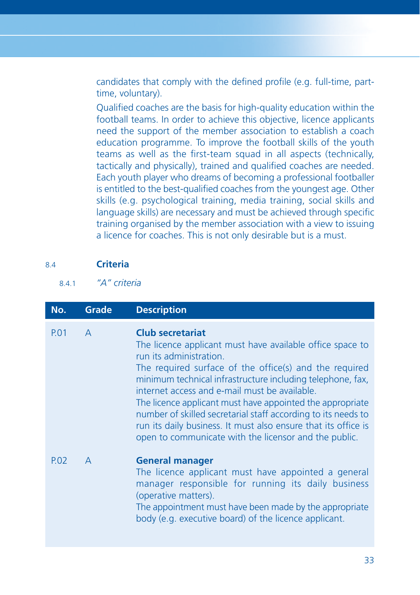candidates that comply with the defined profile (e.g. full-time, parttime, voluntary).

Qualified coaches are the basis for high-quality education within the football teams. In order to achieve this objective, licence applicants need the support of the member association to establish a coach education programme. To improve the football skills of the youth teams as well as the first-team squad in all aspects (technically, tactically and physically), trained and qualified coaches are needed. Each youth player who dreams of becoming a professional footballer is entitled to the best-qualified coaches from the youngest age. Other skills (e.g. psychological training, media training, social skills and language skills) are necessary and must be achieved through specific training organised by the member association with a view to issuing a licence for coaches. This is not only desirable but is a must.

#### 8.4 **Criteria**

8.4.1 *"A" criteria*

| No.  | Grade        | <b>Description</b>                                                                                                                                                                                                                                                                                                                                                                                                                                                                                                                         |
|------|--------------|--------------------------------------------------------------------------------------------------------------------------------------------------------------------------------------------------------------------------------------------------------------------------------------------------------------------------------------------------------------------------------------------------------------------------------------------------------------------------------------------------------------------------------------------|
| P.01 | $\mathsf{A}$ | Club secretariat<br>The licence applicant must have available office space to<br>run its administration.<br>The required surface of the office(s) and the required<br>minimum technical infrastructure including telephone, fax,<br>internet access and e-mail must be available.<br>The licence applicant must have appointed the appropriate<br>number of skilled secretarial staff according to its needs to<br>run its daily business. It must also ensure that its office is<br>open to communicate with the licensor and the public. |
| P.02 | $\Delta$     | <b>General manager</b><br>The licence applicant must have appointed a general<br>manager responsible for running its daily business<br>(operative matters).<br>The appointment must have been made by the appropriate<br>body (e.g. executive board) of the licence applicant.                                                                                                                                                                                                                                                             |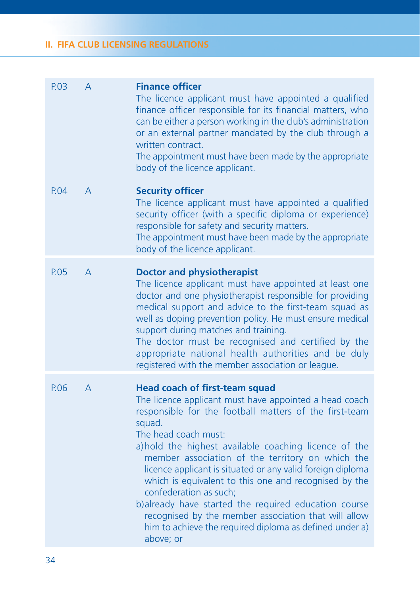| P.03 | A              | <b>Finance officer</b><br>The licence applicant must have appointed a qualified<br>finance officer responsible for its financial matters, who<br>can be either a person working in the club's administration<br>or an external partner mandated by the club through a<br>written contract.<br>The appointment must have been made by the appropriate<br>body of the licence applicant.                                                                                                                                                                                                                                                             |
|------|----------------|----------------------------------------------------------------------------------------------------------------------------------------------------------------------------------------------------------------------------------------------------------------------------------------------------------------------------------------------------------------------------------------------------------------------------------------------------------------------------------------------------------------------------------------------------------------------------------------------------------------------------------------------------|
| P.04 | A              | <b>Security officer</b><br>The licence applicant must have appointed a qualified<br>security officer (with a specific diploma or experience)<br>responsible for safety and security matters.<br>The appointment must have been made by the appropriate<br>body of the licence applicant.                                                                                                                                                                                                                                                                                                                                                           |
| P.05 | A              | <b>Doctor and physiotherapist</b><br>The licence applicant must have appointed at least one<br>doctor and one physiotherapist responsible for providing<br>medical support and advice to the first-team squad as<br>well as doping prevention policy. He must ensure medical<br>support during matches and training.<br>The doctor must be recognised and certified by the<br>appropriate national health authorities and be duly<br>registered with the member association or league.                                                                                                                                                             |
| P.06 | $\overline{A}$ | <b>Head coach of first-team squad</b><br>The licence applicant must have appointed a head coach<br>responsible for the football matters of the first-team<br>squad.<br>The head coach must:<br>a) hold the highest available coaching licence of the<br>member association of the territory on which the<br>licence applicant is situated or any valid foreign diploma<br>which is equivalent to this one and recognised by the<br>confederation as such;<br>b) already have started the required education course<br>recognised by the member association that will allow<br>him to achieve the required diploma as defined under a)<br>above; or |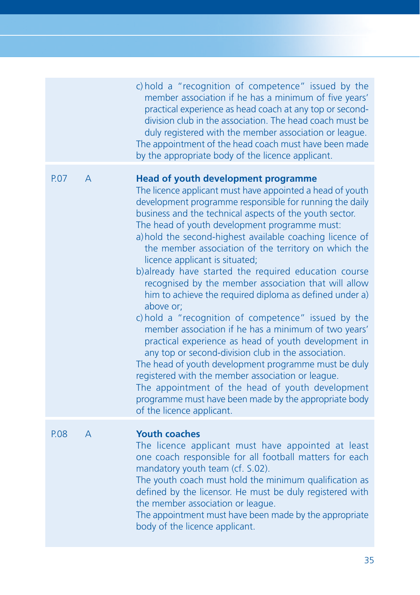|      |                | c) hold a "recognition of competence" issued by the<br>member association if he has a minimum of five years'<br>practical experience as head coach at any top or second-<br>division club in the association. The head coach must be<br>duly registered with the member association or league.<br>The appointment of the head coach must have been made<br>by the appropriate body of the licence applicant.                                                                                                                                                                                                                                                                                                                                                                                                                                                                                                                                                                                                                                                                                                      |
|------|----------------|-------------------------------------------------------------------------------------------------------------------------------------------------------------------------------------------------------------------------------------------------------------------------------------------------------------------------------------------------------------------------------------------------------------------------------------------------------------------------------------------------------------------------------------------------------------------------------------------------------------------------------------------------------------------------------------------------------------------------------------------------------------------------------------------------------------------------------------------------------------------------------------------------------------------------------------------------------------------------------------------------------------------------------------------------------------------------------------------------------------------|
| P.07 | A              | <b>Head of youth development programme</b><br>The licence applicant must have appointed a head of youth<br>development programme responsible for running the daily<br>business and the technical aspects of the youth sector.<br>The head of youth development programme must:<br>a) hold the second-highest available coaching licence of<br>the member association of the territory on which the<br>licence applicant is situated;<br>b)already have started the required education course<br>recognised by the member association that will allow<br>him to achieve the required diploma as defined under a)<br>above or;<br>c) hold a "recognition of competence" issued by the<br>member association if he has a minimum of two years'<br>practical experience as head of youth development in<br>any top or second-division club in the association.<br>The head of youth development programme must be duly<br>registered with the member association or league.<br>The appointment of the head of youth development<br>programme must have been made by the appropriate body<br>of the licence applicant. |
| P.08 | $\overline{A}$ | <b>Youth coaches</b><br>The licence applicant must have appointed at least<br>one coach responsible for all football matters for each<br>mandatory youth team (cf. S.02).<br>The youth coach must hold the minimum qualification as<br>defined by the licensor. He must be duly registered with<br>the member association or league.<br>The appointment must have been made by the appropriate<br>body of the licence applicant.                                                                                                                                                                                                                                                                                                                                                                                                                                                                                                                                                                                                                                                                                  |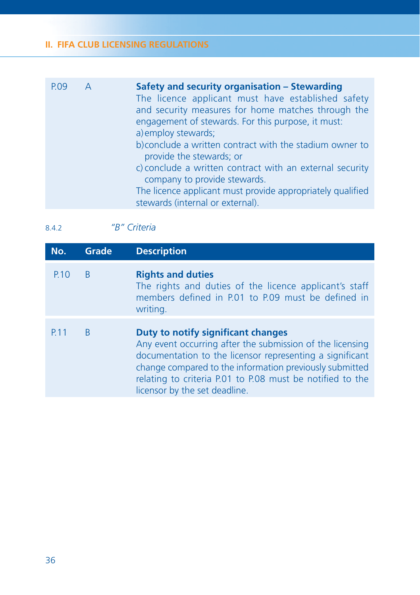| P.09 | $\overline{A}$ | Safety and security organisation - Stewarding<br>The licence applicant must have established safety<br>and security measures for home matches through the<br>engagement of stewards. For this purpose, it must:<br>a) employ stewards; |
|------|----------------|----------------------------------------------------------------------------------------------------------------------------------------------------------------------------------------------------------------------------------------|
|      |                | b) conclude a written contract with the stadium owner to<br>provide the stewards; or                                                                                                                                                   |
|      |                | c) conclude a written contract with an external security<br>company to provide stewards.                                                                                                                                               |
|      |                | The licence applicant must provide appropriately qualified<br>stewards (internal or external).                                                                                                                                         |

8.4.2 *"B" Criteria*

| No.             | Grade        | <b>Description</b>                                                                                                                                                                                                                                                                                                   |
|-----------------|--------------|----------------------------------------------------------------------------------------------------------------------------------------------------------------------------------------------------------------------------------------------------------------------------------------------------------------------|
| P.10            | <sup>B</sup> | <b>Rights and duties</b><br>The rights and duties of the licence applicant's staff<br>members defined in P.01 to P.09 must be defined in<br>writing.                                                                                                                                                                 |
| P <sub>11</sub> | B            | Duty to notify significant changes<br>Any event occurring after the submission of the licensing<br>documentation to the licensor representing a significant<br>change compared to the information previously submitted<br>relating to criteria P.01 to P.08 must be notified to the<br>licensor by the set deadline. |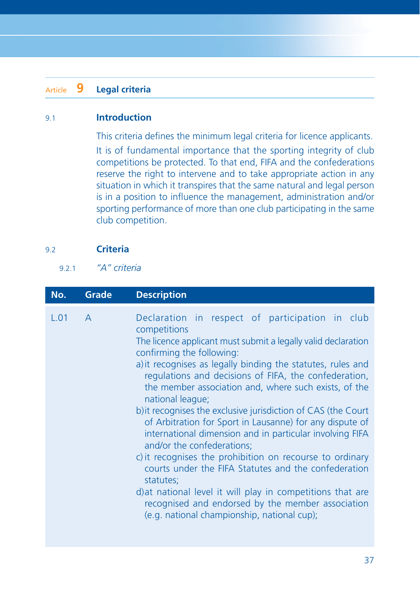# Article **9 Legal criteria**

#### 9.1 **Introduction**

This criteria defines the minimum legal criteria for licence applicants. It is of fundamental importance that the sporting integrity of club competitions be protected. To that end, FIFA and the confederations reserve the right to intervene and to take appropriate action in any situation in which it transpires that the same natural and legal person is in a position to influence the management, administration and/or sporting performance of more than one club participating in the same club competition.

#### 9.2 **Criteria**

9.2.1 *"A" criteria*

| No.  | Grade        | <b>Description</b>                                                                                                                                                                                                                                                                                                                                                                                                                                                                                                                                                                                                                                                                                                                                                                                                                                                                           |
|------|--------------|----------------------------------------------------------------------------------------------------------------------------------------------------------------------------------------------------------------------------------------------------------------------------------------------------------------------------------------------------------------------------------------------------------------------------------------------------------------------------------------------------------------------------------------------------------------------------------------------------------------------------------------------------------------------------------------------------------------------------------------------------------------------------------------------------------------------------------------------------------------------------------------------|
| L.01 | $\mathsf{A}$ | Declaration in respect of participation in club<br>competitions<br>The licence applicant must submit a legally valid declaration<br>confirming the following:<br>a) it recognises as legally binding the statutes, rules and<br>regulations and decisions of FIFA, the confederation,<br>the member association and, where such exists, of the<br>national league;<br>b) it recognises the exclusive jurisdiction of CAS (the Court<br>of Arbitration for Sport in Lausanne) for any dispute of<br>international dimension and in particular involving FIFA<br>and/or the confederations;<br>c) it recognises the prohibition on recourse to ordinary<br>courts under the FIFA Statutes and the confederation<br>statutes;<br>d) at national level it will play in competitions that are<br>recognised and endorsed by the member association<br>(e.g. national championship, national cup); |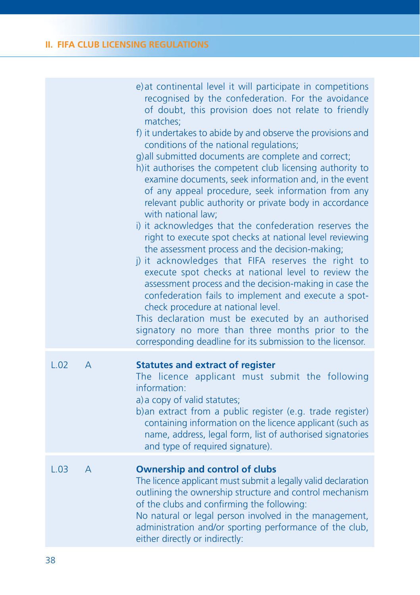|      |                | e) at continental level it will participate in competitions<br>recognised by the confederation. For the avoidance<br>of doubt, this provision does not relate to friendly<br>matches;<br>f) it undertakes to abide by and observe the provisions and<br>conditions of the national regulations;<br>g) all submitted documents are complete and correct;<br>h) it authorises the competent club licensing authority to<br>examine documents, seek information and, in the event<br>of any appeal procedure, seek information from any<br>relevant public authority or private body in accordance<br>with national law;<br>i) it acknowledges that the confederation reserves the<br>right to execute spot checks at national level reviewing<br>the assessment process and the decision-making;<br>j) it acknowledges that FIFA reserves the right to<br>execute spot checks at national level to review the<br>assessment process and the decision-making in case the<br>confederation fails to implement and execute a spot-<br>check procedure at national level.<br>This declaration must be executed by an authorised<br>signatory no more than three months prior to the<br>corresponding deadline for its submission to the licensor. |
|------|----------------|---------------------------------------------------------------------------------------------------------------------------------------------------------------------------------------------------------------------------------------------------------------------------------------------------------------------------------------------------------------------------------------------------------------------------------------------------------------------------------------------------------------------------------------------------------------------------------------------------------------------------------------------------------------------------------------------------------------------------------------------------------------------------------------------------------------------------------------------------------------------------------------------------------------------------------------------------------------------------------------------------------------------------------------------------------------------------------------------------------------------------------------------------------------------------------------------------------------------------------------------|
| L.02 | A              | <b>Statutes and extract of register</b><br>The licence applicant must submit the following<br>information:<br>a) a copy of valid statutes;<br>b) an extract from a public register (e.g. trade register)<br>containing information on the licence applicant (such as<br>name, address, legal form, list of authorised signatories<br>and type of required signature).                                                                                                                                                                                                                                                                                                                                                                                                                                                                                                                                                                                                                                                                                                                                                                                                                                                                       |
| L.03 | $\overline{A}$ | <b>Ownership and control of clubs</b><br>The licence applicant must submit a legally valid declaration<br>outlining the ownership structure and control mechanism<br>of the clubs and confirming the following:<br>No natural or legal person involved in the management,<br>administration and/or sporting performance of the club,<br>either directly or indirectly:                                                                                                                                                                                                                                                                                                                                                                                                                                                                                                                                                                                                                                                                                                                                                                                                                                                                      |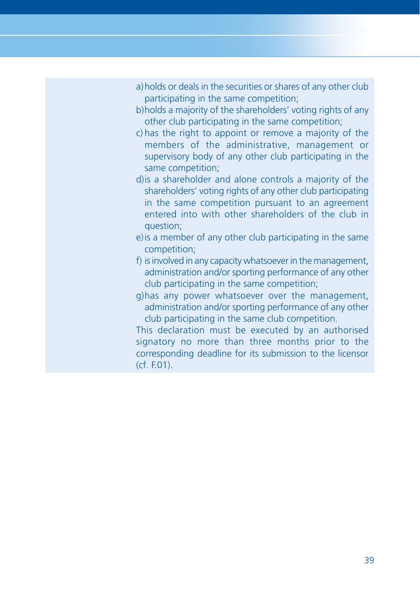- a) holds or deals in the securities or shares of any other club participating in the same competition;
- b) holds a majority of the shareholders' voting rights of any other club participating in the same competition;
- c) has the right to appoint or remove a majority of the members of the administrative, management or supervisory body of any other club participating in the same competition;
- d) is a shareholder and alone controls a majority of the shareholders' voting rights of any other club participating in the same competition pursuant to an agreement entered into with other shareholders of the club in question;
- e) is a member of any other club participating in the same competition;
- f) is involved in any capacity whatsoever in the management, administration and/or sporting performance of any other club participating in the same competition;
- g) has any power whatsoever over the management, administration and/or sporting performance of any other club participating in the same club competition.

 This declaration must be executed by an authorised signatory no more than three months prior to the corresponding deadline for its submission to the licensor  $(cf. F.01)$ .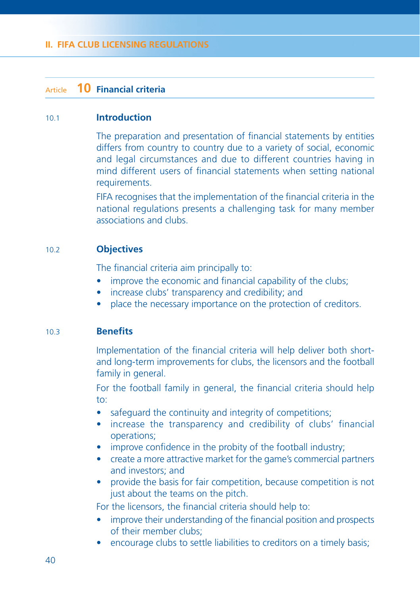## Article **10 Financial criteria**

#### 10.1 **Introduction**

The preparation and presentation of financial statements by entities differs from country to country due to a variety of social, economic and legal circumstances and due to different countries having in mind different users of financial statements when setting national requirements.

FIFA recognises that the implementation of the financial criteria in the national regulations presents a challenging task for many member associations and clubs.

#### 10.2 **Objectives**

The financial criteria aim principally to:

- improve the economic and financial capability of the clubs;
- increase clubs' transparency and credibility; and
- place the necessary importance on the protection of creditors.

#### 10.3 **Benefits**

Implementation of the financial criteria will help deliver both shortand long-term improvements for clubs, the licensors and the football family in general.

For the football family in general, the financial criteria should help to:

- safeguard the continuity and integrity of competitions;
- increase the transparency and credibility of clubs' financial operations;
- improve confidence in the probity of the football industry;
- create a more attractive market for the game's commercial partners and investors; and
- provide the basis for fair competition, because competition is not just about the teams on the pitch.

For the licensors, the financial criteria should help to:

- improve their understanding of the financial position and prospects of their member clubs;
- encourage clubs to settle liabilities to creditors on a timely basis;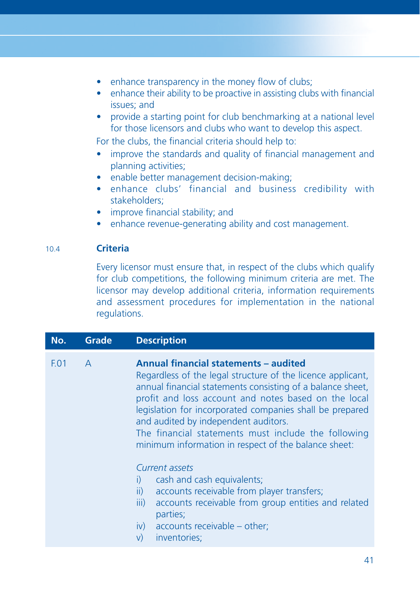- $\bullet$  enhance transparency in the money flow of clubs:
- enhance their ability to be proactive in assisting clubs with financial issues; and
- provide a starting point for club benchmarking at a national level for those licensors and clubs who want to develop this aspect.

For the clubs, the financial criteria should help to:

- improve the standards and quality of financial management and planning activities;
- enable better management decision-making;
- enhance clubs' financial and business credibility with stakeholders;
- improve financial stability; and
- enhance revenue-generating ability and cost management.

#### 10.4 **Criteria**

 Every licensor must ensure that, in respect of the clubs which qualify for club competitions, the following minimum criteria are met. The licensor may develop additional criteria, information requirements and assessment procedures for implementation in the national regulations.

# **No. Grade Description** F.01 A **Annual fi nancial statements – audited** Regardless of the legal structure of the licence applicant, annual financial statements consisting of a balance sheet, profit and loss account and notes based on the local legislation for incorporated companies shall be prepared and audited by independent auditors. The financial statements must include the following minimum information in respect of the balance sheet:  *Current assets* i) cash and cash equivalents; ii) accounts receivable from player transfers; iii) accounts receivable from group entities and related parties; iv) accounts receivable – other; v) inventories;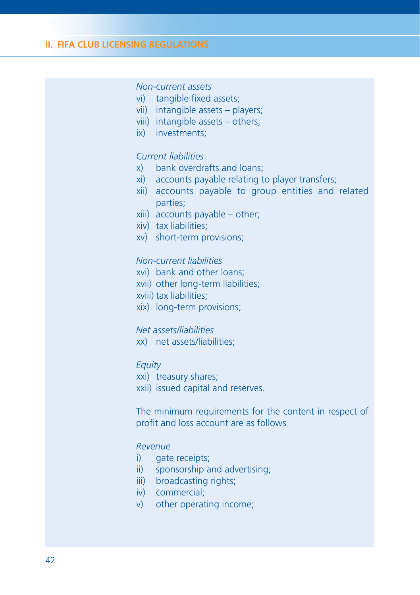## *Non-current assets*

- vi) tangible fixed assets:
- vii) intangible assets players;
- viii) intangible assets others;
- ix) investments;

#### *Current liabilities*

- x) bank overdrafts and loans;
- xi) accounts payable relating to player transfers;
- xii) accounts payable to group entities and related parties;
- xiii) accounts payable other;
- xiv) tax liabilities;
- xv) short-term provisions;

#### *Non-current liabilities*

- xvi) bank and other loans;
- xvii) other long-term liabilities;
- xviii) tax liabilities;
- xix) long-term provisions;

#### *Net assets/liabilities*

xx) net assets/liabilities;

#### *Equity*

- xxi) treasury shares;
- xxii) issued capital and reserves.

 The minimum requirements for the content in respect of profit and loss account are as follows

#### *Revenue*

- i) gate receipts;
- ii) sponsorship and advertising;
- iii) broadcasting rights;
- iv) commercial;
- v) other operating income;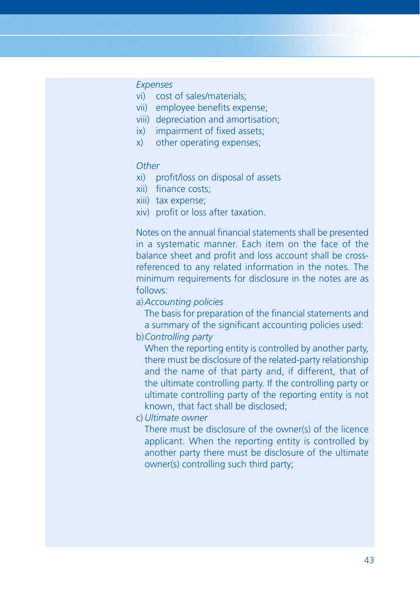#### *Expenses*

- vi) cost of sales/materials;
- vii) employee benefits expense;
- viii) depreciation and amortisation;
- ix) impairment of fixed assets:
- x) other operating expenses;

#### *Other*

- xi) profit/loss on disposal of assets
- xii) finance costs;
- xiii) tax expense;
- xiv) profit or loss after taxation.

Notes on the annual financial statements shall be presented in a systematic manner. Each item on the face of the balance sheet and profit and loss account shall be crossreferenced to any related information in the notes. The minimum requirements for disclosure in the notes are as follows:

a) *Accounting policies*

The basis for preparation of the financial statements and a summary of the significant accounting policies used:

#### b) *Controlling party*

 When the reporting entity is controlled by another party, there must be disclosure of the related-party relationship and the name of that party and, if different, that of the ultimate controlling party. If the controlling party or ultimate controlling party of the reporting entity is not known, that fact shall be disclosed;

c) *Ultimate owner*

 There must be disclosure of the owner(s) of the licence applicant. When the reporting entity is controlled by another party there must be disclosure of the ultimate owner(s) controlling such third party;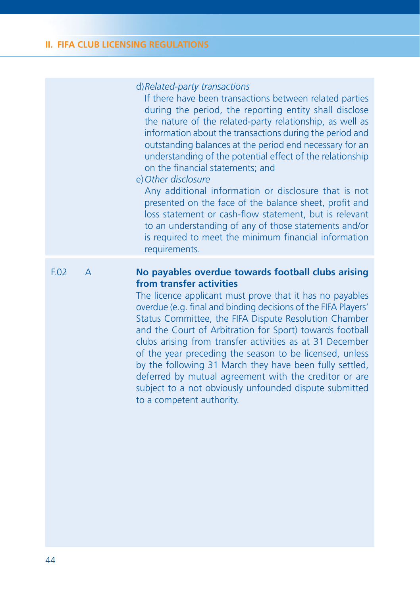#### d) *Related-party transactions*

 If there have been transactions between related parties during the period, the reporting entity shall disclose the nature of the related-party relationship, as well as information about the transactions during the period and outstanding balances at the period end necessary for an understanding of the potential effect of the relationship on the financial statements; and

#### e) *Other disclosure*

 Any additional information or disclosure that is not presented on the face of the balance sheet, profit and loss statement or cash-flow statement, but is relevant to an understanding of any of those statements and/or is required to meet the minimum financial information requirements.

# F.02 A **No payables overdue towards football clubs arising from transfer activities**

 The licence applicant must prove that it has no payables overdue (e.g. final and binding decisions of the FIFA Players' Status Committee, the FIFA Dispute Resolution Chamber and the Court of Arbitration for Sport) towards football clubs arising from transfer activities as at 31 December of the year preceding the season to be licensed, unless by the following 31 March they have been fully settled, deferred by mutual agreement with the creditor or are subject to a not obviously unfounded dispute submitted to a competent authority.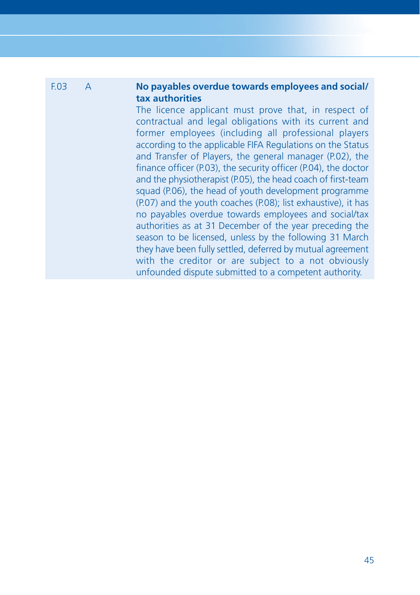# F.03 A **No payables overdue towards employees and social/ tax authorities**

 The licence applicant must prove that, in respect of contractual and legal obligations with its current and former employees (including all professional players according to the applicable FIFA Regulations on the Status and Transfer of Players, the general manager (P.02), the finance officer (P.03), the security officer (P.04), the doctor and the physiotherapist (P.05), the head coach of first-team squad (P.06), the head of youth development programme (P.07) and the youth coaches (P.08); list exhaustive), it has no payables overdue towards employees and social/tax authorities as at 31 December of the year preceding the season to be licensed, unless by the following 31 March they have been fully settled, deferred by mutual agreement with the creditor or are subject to a not obviously unfounded dispute submitted to a competent authority.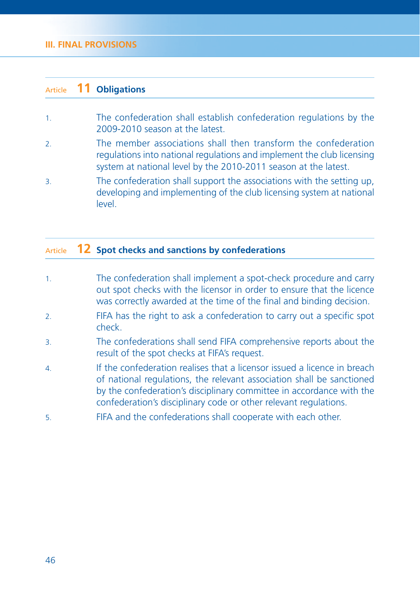#### **III. FINAL PROVISIONS**

#### Article **11 Obligations**

- 1. The confederation shall establish confederation regulations by the 2009-2010 season at the latest.
- 2. The member associations shall then transform the confederation regulations into national regulations and implement the club licensing system at national level by the 2010-2011 season at the latest.
- 3. The confederation shall support the associations with the setting up, developing and implementing of the club licensing system at national level.

#### Article **12 Spot checks and sanctions by confederations**

- 1. The confederation shall implement a spot-check procedure and carry out spot checks with the licensor in order to ensure that the licence was correctly awarded at the time of the final and binding decision.
- 2. FIFA has the right to ask a confederation to carry out a specific spot check.
- 3. The confederations shall send FIFA comprehensive reports about the result of the spot checks at FIFA's request.
- 4. If the confederation realises that a licensor issued a licence in breach of national regulations, the relevant association shall be sanctioned by the confederation's disciplinary committee in accordance with the confederation's disciplinary code or other relevant regulations.
- 5. FIFA and the confederations shall cooperate with each other.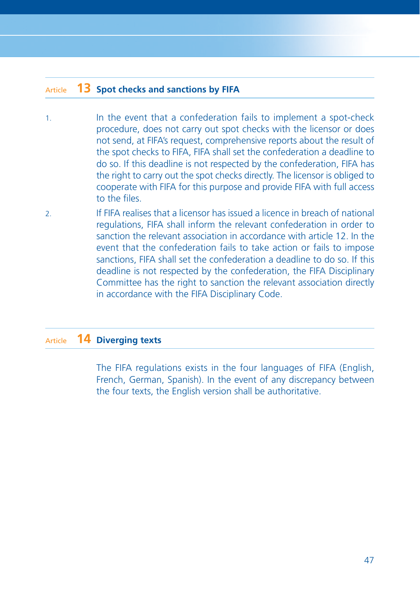# Article **13 Spot checks and sanctions by FIFA**

- 1. In the event that a confederation fails to implement a spot-check procedure, does not carry out spot checks with the licensor or does not send, at FIFA's request, comprehensive reports about the result of the spot checks to FIFA, FIFA shall set the confederation a deadline to do so. If this deadline is not respected by the confederation, FIFA has the right to carry out the spot checks directly. The licensor is obliged to cooperate with FIFA for this purpose and provide FIFA with full access to the files.
- 2. If FIFA realises that a licensor has issued a licence in breach of national regulations, FIFA shall inform the relevant confederation in order to sanction the relevant association in accordance with article 12. In the event that the confederation fails to take action or fails to impose sanctions, FIFA shall set the confederation a deadline to do so. If this deadline is not respected by the confederation, the FIFA Disciplinary Committee has the right to sanction the relevant association directly in accordance with the FIFA Disciplinary Code.

# Article **14 Diverging texts**

 The FIFA regulations exists in the four languages of FIFA (English, French, German, Spanish). In the event of any discrepancy between the four texts, the English version shall be authoritative.